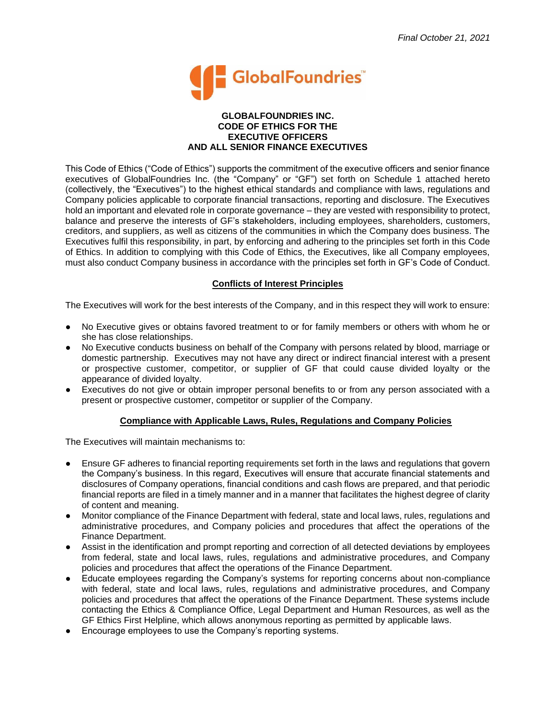

#### **GLOBALFOUNDRIES INC. CODE OF ETHICS FOR THE EXECUTIVE OFFICERS AND ALL SENIOR FINANCE EXECUTIVES**

This Code of Ethics ("Code of Ethics") supports the commitment of the executive officers and senior finance executives of GlobalFoundries Inc. (the "Company" or "GF") set forth on Schedule 1 attached hereto (collectively, the "Executives") to the highest ethical standards and compliance with laws, regulations and Company policies applicable to corporate financial transactions, reporting and disclosure. The Executives hold an important and elevated role in corporate governance – they are vested with responsibility to protect, balance and preserve the interests of GF's stakeholders, including employees, shareholders, customers, creditors, and suppliers, as well as citizens of the communities in which the Company does business. The Executives fulfil this responsibility, in part, by enforcing and adhering to the principles set forth in this Code of Ethics. In addition to complying with this Code of Ethics, the Executives, like all Company employees, must also conduct Company business in accordance with the principles set forth in GF's Code of Conduct.

# **Conflicts of Interest Principles**

The Executives will work for the best interests of the Company, and in this respect they will work to ensure:

- No Executive gives or obtains favored treatment to or for family members or others with whom he or she has close relationships.
- No Executive conducts business on behalf of the Company with persons related by blood, marriage or domestic partnership. Executives may not have any direct or indirect financial interest with a present or prospective customer, competitor, or supplier of GF that could cause divided loyalty or the appearance of divided loyalty.
- Executives do not give or obtain improper personal benefits to or from any person associated with a present or prospective customer, competitor or supplier of the Company.

### **Compliance with Applicable Laws, Rules, Regulations and Company Policies**

The Executives will maintain mechanisms to:

- Ensure GF adheres to financial reporting requirements set forth in the laws and regulations that govern the Company's business. In this regard, Executives will ensure that accurate financial statements and disclosures of Company operations, financial conditions and cash flows are prepared, and that periodic financial reports are filed in a timely manner and in a manner that facilitates the highest degree of clarity of content and meaning.
- Monitor compliance of the Finance Department with federal, state and local laws, rules, regulations and administrative procedures, and Company policies and procedures that affect the operations of the Finance Department.
- Assist in the identification and prompt reporting and correction of all detected deviations by employees from federal, state and local laws, rules, regulations and administrative procedures, and Company policies and procedures that affect the operations of the Finance Department.
- Educate employees regarding the Company's systems for reporting concerns about non-compliance with federal, state and local laws, rules, regulations and administrative procedures, and Company policies and procedures that affect the operations of the Finance Department. These systems include contacting the Ethics & Compliance Office, Legal Department and Human Resources, as well as the GF Ethics First Helpline, which allows anonymous reporting as permitted by applicable laws.
- Encourage employees to use the Company's reporting systems.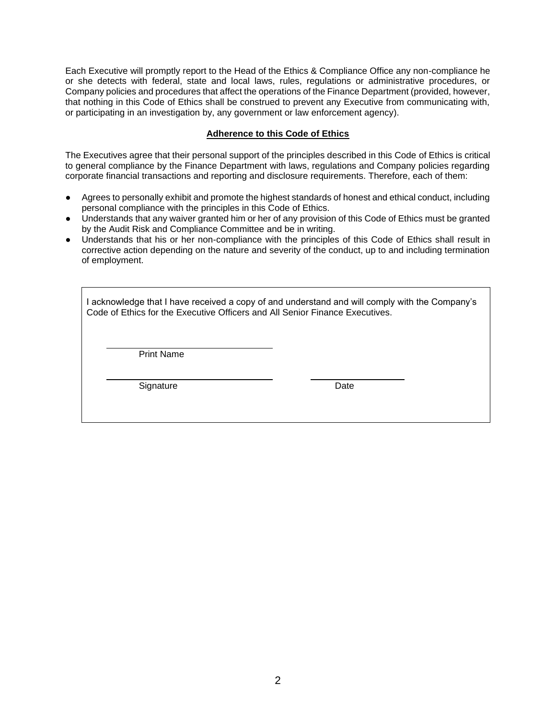Each Executive will promptly report to the Head of the Ethics & Compliance Office any non-compliance he or she detects with federal, state and local laws, rules, regulations or administrative procedures, or Company policies and procedures that affect the operations of the Finance Department (provided, however, that nothing in this Code of Ethics shall be construed to prevent any Executive from communicating with, or participating in an investigation by, any government or law enforcement agency).

### **Adherence to this Code of Ethics**

The Executives agree that their personal support of the principles described in this Code of Ethics is critical to general compliance by the Finance Department with laws, regulations and Company policies regarding corporate financial transactions and reporting and disclosure requirements. Therefore, each of them:

- Agrees to personally exhibit and promote the highest standards of honest and ethical conduct, including personal compliance with the principles in this Code of Ethics.
- Understands that any waiver granted him or her of any provision of this Code of Ethics must be granted by the Audit Risk and Compliance Committee and be in writing.
- Understands that his or her non-compliance with the principles of this Code of Ethics shall result in corrective action depending on the nature and severity of the conduct, up to and including termination of employment.

I acknowledge that I have received a copy of and understand and will comply with the Company's Code of Ethics for the Executive Officers and All Senior Finance Executives.

Print Name

Signature **Date**